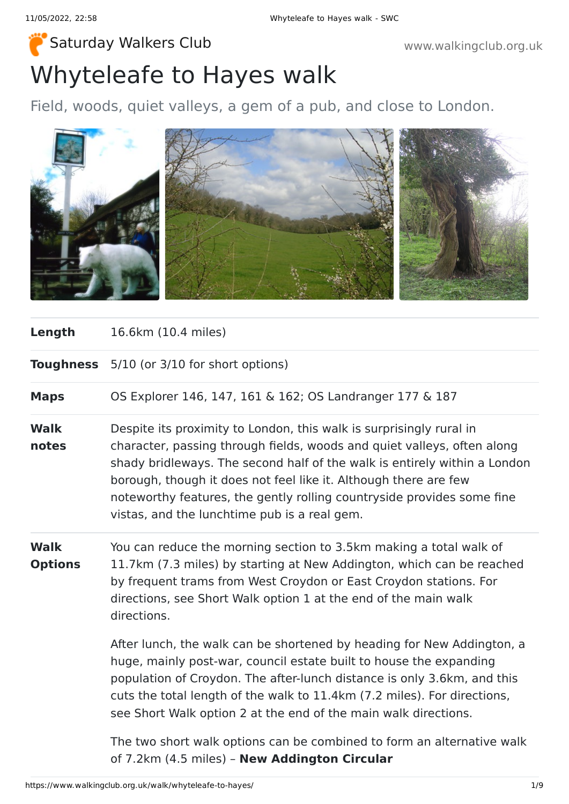# Whyteleafe to Hayes walk [Saturday Walkers Club](https://www.walkingclub.org.uk/) **Walkers Club www.walkingclub.org.uk**

Field, woods, quiet valleys, a gem of a pub, and close to London.



| Length | 16.6km (10.4 miles) |  |
|--------|---------------------|--|
|--------|---------------------|--|

**Toughness** 5/10 (or 3/10 for short options)

**Maps** OS Explorer 146, 147, 161 & 162; OS Landranger 177 & 187

- **Walk notes** Despite its proximity to London, this walk is surprisingly rural in character, passing through fields, woods and quiet valleys, often along shady bridleways. The second half of the walk is entirely within a London borough, though it does not feel like it. Although there are few noteworthy features, the gently rolling countryside provides some fine vistas, and the lunchtime pub is a real gem.
- **Walk Options** You can reduce the morning section to 3.5km making a total walk of 11.7km (7.3 miles) by starting at New Addington, which can be reached by frequent trams from West Croydon or East Croydon stations. For directions, see Short Walk option 1 at the end of the main walk directions.

After lunch, the walk can be shortened by heading for New Addington, a huge, mainly post-war, council estate built to house the expanding population of Croydon. The after-lunch distance is only 3.6km, and this cuts the total length of the walk to 11.4km (7.2 miles). For directions, see Short Walk option 2 at the end of the main walk directions.

The two short walk options can be combined to form an alternative walk of 7.2km (4.5 miles) – **New Addington Circular**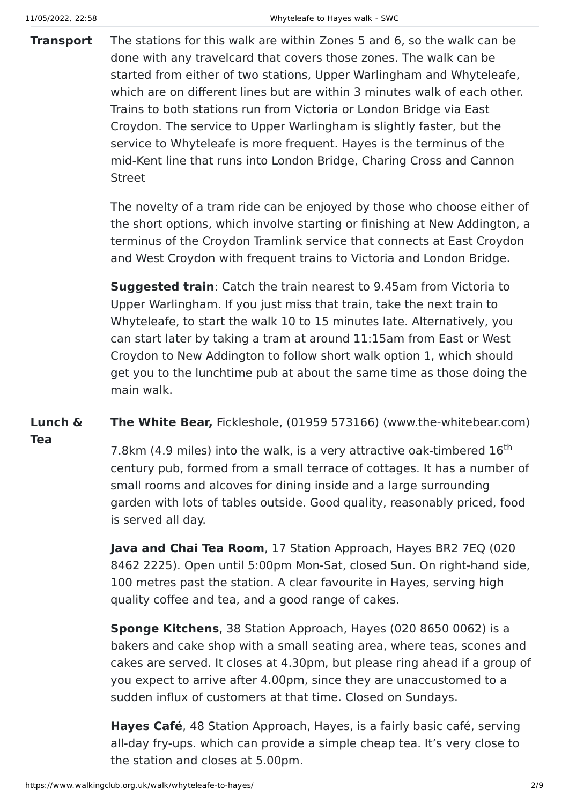**Transport** The stations for this walk are within Zones 5 and 6, so the walk can be done with any travelcard that covers those zones. The walk can be started from either of two stations, Upper Warlingham and Whyteleafe, which are on different lines but are within 3 minutes walk of each other. Trains to both stations run from Victoria or London Bridge via East Croydon. The service to Upper Warlingham is slightly faster, but the service to Whyteleafe is more frequent. Hayes is the terminus of the mid-Kent line that runs into London Bridge, Charing Cross and Cannon Street

> The novelty of a tram ride can be enjoyed by those who choose either of the short options, which involve starting or finishing at New Addington, a terminus of the Croydon Tramlink service that connects at East Croydon and West Croydon with frequent trains to Victoria and London Bridge.

> **Suggested train**: Catch the train nearest to 9.45am from Victoria to Upper Warlingham. If you just miss that train, take the next train to Whyteleafe, to start the walk 10 to 15 minutes late. Alternatively, you can start later by taking a tram at around 11:15am from East or West Croydon to New Addington to follow short walk option 1, which should get you to the lunchtime pub at about the same time as those doing the main walk.

**Lunch & The White Bear,** Fickleshole, (01959 573166) (www.the-whitebear.com)

**Tea**

7.8km (4.9 miles) into the walk, is a very attractive oak-timbered 16<sup>th</sup> century pub, formed from a small terrace of cottages. It has a number of small rooms and alcoves for dining inside and a large surrounding garden with lots of tables outside. Good quality, reasonably priced, food is served all day.

**Java and Chai Tea Room**, 17 Station Approach, Hayes BR2 7EQ (020 8462 2225). Open until 5:00pm Mon-Sat, closed Sun. On right-hand side, 100 metres past the station. A clear favourite in Hayes, serving high quality coffee and tea, and a good range of cakes.

**Sponge Kitchens**, 38 Station Approach, Hayes (020 8650 0062) is a bakers and cake shop with a small seating area, where teas, scones and cakes are served. It closes at 4.30pm, but please ring ahead if a group of you expect to arrive after 4.00pm, since they are unaccustomed to a sudden influx of customers at that time. Closed on Sundays.

**Hayes Café**, 48 Station Approach, Hayes, is a fairly basic café, serving all-day fry-ups. which can provide a simple cheap tea. It's very close to the station and closes at 5.00pm.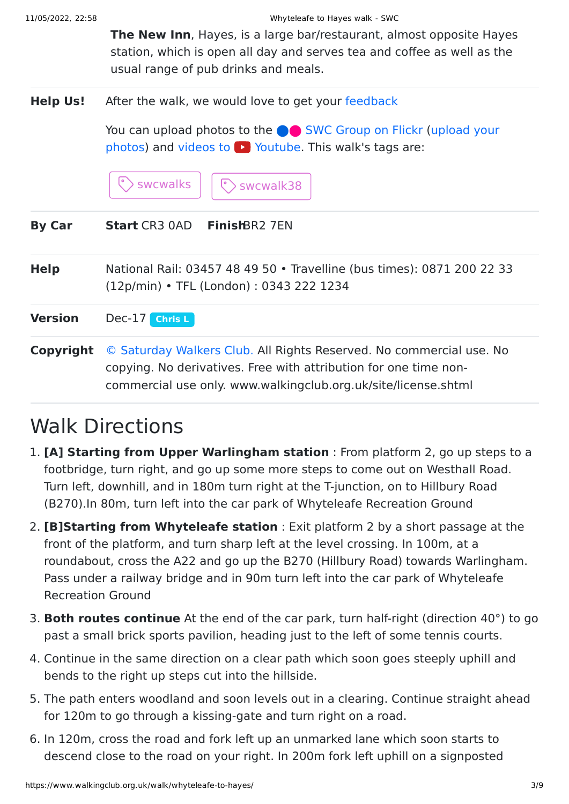**The New Inn**, Hayes, is a large bar/restaurant, almost opposite Hayes station, which is open all day and serves tea and coffee as well as the usual range of pub drinks and meals.

**Help Us!** After the walk, we would love to get your [feedback](https://www.walkingclub.org.uk/walk/whyteleafe-to-hayes/comments.html)

You can upload photos to the **extended** [SWC Group on Flickr](http://www.flickr.com/groups/swc) (upload your photos) and videos to  $\triangleright$  Youtube. This walk's tags are:

 $\triangleright$  swcwalks  $\vert\ \vert$   $\odot$  swcwalk38

| <b>By Car</b> | <b>Start</b> CR3 0AD <b>Finish</b> BR2 7EN |  |
|---------------|--------------------------------------------|--|
|---------------|--------------------------------------------|--|

**Help** National Rail: 03457 48 49 50 • Travelline (bus times): 0871 200 22 33 (12p/min) • TFL (London) : 0343 222 1234

**Version** Dec-17 **[Chris L](https://www.walkingclub.org.uk/walks/chris-l.html)**

**Copyright** [© Saturday Walkers Club.](https://www.walkingclub.org.uk/site/license.shtml) All Rights Reserved. No commercial use. No copying. No derivatives. Free with attribution for one time noncommercial use only. www.walkingclub.org.uk/site/license.shtml

### Walk Directions

- 1. **[A] Starting from Upper Warlingham station** : From platform 2, go up steps to a footbridge, turn right, and go up some more steps to come out on Westhall Road. Turn left, downhill, and in 180m turn right at the T-junction, on to Hillbury Road (B270).In 80m, turn left into the car park of Whyteleafe Recreation Ground
- 2. **[B]Starting from Whyteleafe station** : Exit platform 2 by a short passage at the front of the platform, and turn sharp left at the level crossing. In 100m, at a roundabout, cross the A22 and go up the B270 (Hillbury Road) towards Warlingham. Pass under a railway bridge and in 90m turn left into the car park of Whyteleafe Recreation Ground
- 3. **Both routes continue** At the end of the car park, turn half-right (direction 40°) to go past a small brick sports pavilion, heading just to the left of some tennis courts.
- 4. Continue in the same direction on a clear path which soon goes steeply uphill and bends to the right up steps cut into the hillside.
- 5. The path enters woodland and soon levels out in a clearing. Continue straight ahead for 120m to go through a kissing-gate and turn right on a road.
- 6. In 120m, cross the road and fork left up an unmarked lane which soon starts to descend close to the road on your right. In 200m fork left uphill on a signposted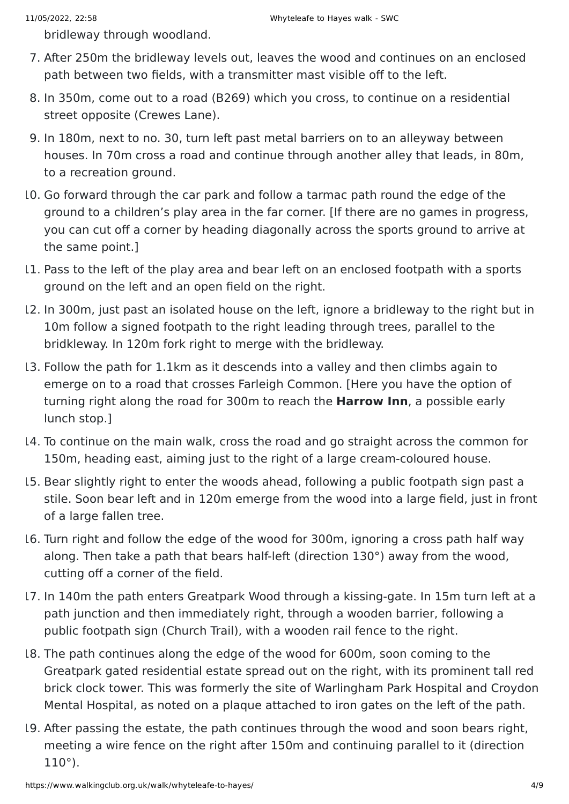bridleway through woodland.

- 7. After 250m the bridleway levels out, leaves the wood and continues on an enclosed path between two fields, with a transmitter mast visible off to the left.
- 8. In 350m, come out to a road (B269) which you cross, to continue on a residential street opposite (Crewes Lane).
- 9. In 180m, next to no. 30, turn left past metal barriers on to an alleyway between houses. In 70m cross a road and continue through another alley that leads, in 80m, to a recreation ground.
- 10. Go forward through the car park and follow a tarmac path round the edge of the ground to a children's play area in the far corner. [If there are no games in progress, you can cut off a corner by heading diagonally across the sports ground to arrive at the same point.]
- 11. Pass to the left of the play area and bear left on an enclosed footpath with a sports ground on the left and an open field on the right.
- 12. In 300m, just past an isolated house on the left, ignore a bridleway to the right but in 10m follow a signed footpath to the right leading through trees, parallel to the bridkleway. In 120m fork right to merge with the bridleway.
- 13. Follow the path for 1.1km as it descends into a valley and then climbs again to emerge on to a road that crosses Farleigh Common. [Here you have the option of turning right along the road for 300m to reach the **Harrow Inn**, a possible early lunch stop.]
- 14. To continue on the main walk, cross the road and go straight across the common for 150m, heading east, aiming just to the right of a large cream-coloured house.
- 15. Bear slightly right to enter the woods ahead, following a public footpath sign past a stile. Soon bear left and in 120m emerge from the wood into a large field, just in front of a large fallen tree.
- 16. Turn right and follow the edge of the wood for 300m, ignoring a cross path half way along. Then take a path that bears half-left (direction 130°) away from the wood, cutting off a corner of the field.
- 17. In 140m the path enters Greatpark Wood through a kissing-gate. In 15m turn left at a path junction and then immediately right, through a wooden barrier, following a public footpath sign (Church Trail), with a wooden rail fence to the right.
- 18. The path continues along the edge of the wood for 600m, soon coming to the Greatpark gated residential estate spread out on the right, with its prominent tall red brick clock tower. This was formerly the site of Warlingham Park Hospital and Croydon Mental Hospital, as noted on a plaque attached to iron gates on the left of the path.
- 19. After passing the estate, the path continues through the wood and soon bears right, meeting a wire fence on the right after 150m and continuing parallel to it (direction 110°).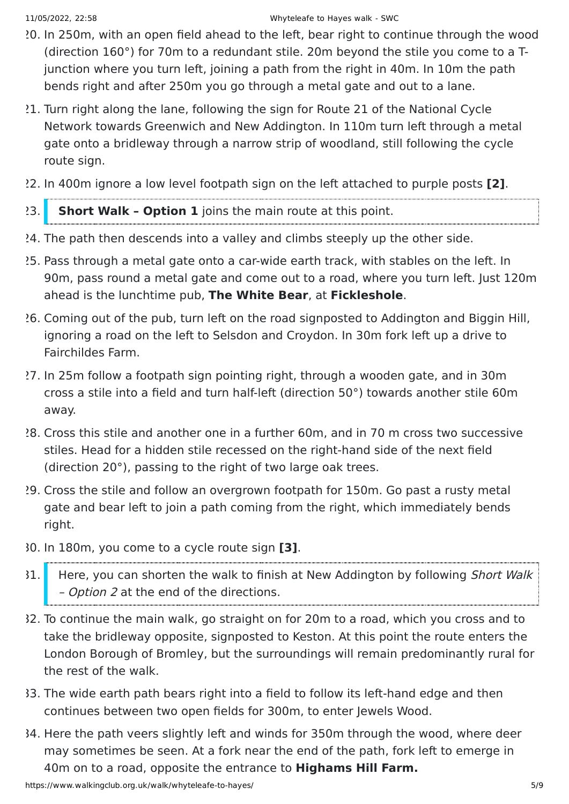- 20. In 250m, with an open field ahead to the left, bear right to continue through the wood (direction 160°) for 70m to a redundant stile. 20m beyond the stile you come to a Tjunction where you turn left, joining a path from the right in 40m. In 10m the path bends right and after 250m you go through a metal gate and out to a lane.
- 21. Turn right along the lane, following the sign for Route 21 of the National Cycle Network towards Greenwich and New Addington. In 110m turn left through a metal gate onto a bridleway through a narrow strip of woodland, still following the cycle route sign.
- 22. In 400m ignore a low level footpath sign on the left attached to purple posts **[2]**.

#### 23. **Short Walk – Option 1** joins the main route at this point.

- 24. The path then descends into a valley and climbs steeply up the other side.
- 25. Pass through a metal gate onto a car-wide earth track, with stables on the left. In 90m, pass round a metal gate and come out to a road, where you turn left. Just 120m ahead is the lunchtime pub, **The White Bear**, at **Fickleshole**.
- 26. Coming out of the pub, turn left on the road signposted to Addington and Biggin Hill, ignoring a road on the left to Selsdon and Croydon. In 30m fork left up a drive to Fairchildes Farm.
- 27. In 25m follow a footpath sign pointing right, through a wooden gate, and in 30m cross a stile into a field and turn half-left (direction 50°) towards another stile 60m away.
- 28. Cross this stile and another one in a further 60m, and in 70 m cross two successive stiles. Head for a hidden stile recessed on the right-hand side of the next field (direction 20°), passing to the right of two large oak trees.
- 29. Cross the stile and follow an overgrown footpath for 150m. Go past a rusty metal gate and bear left to join a path coming from the right, which immediately bends right.
- 30. In 180m, you come to a cycle route sign **[3]**.
- 31. Here, you can shorten the walk to finish at New Addington by following Short Walk - Option 2 at the end of the directions.
- 32. To continue the main walk, go straight on for 20m to a road, which you cross and to take the bridleway opposite, signposted to Keston. At this point the route enters the London Borough of Bromley, but the surroundings will remain predominantly rural for the rest of the walk.
- 33. The wide earth path bears right into a field to follow its left-hand edge and then continues between two open fields for 300m, to enter Jewels Wood.
- 34. Here the path veers slightly left and winds for 350m through the wood, where deer may sometimes be seen. At a fork near the end of the path, fork left to emerge in 40m on to a road, opposite the entrance to **Highams Hill Farm.**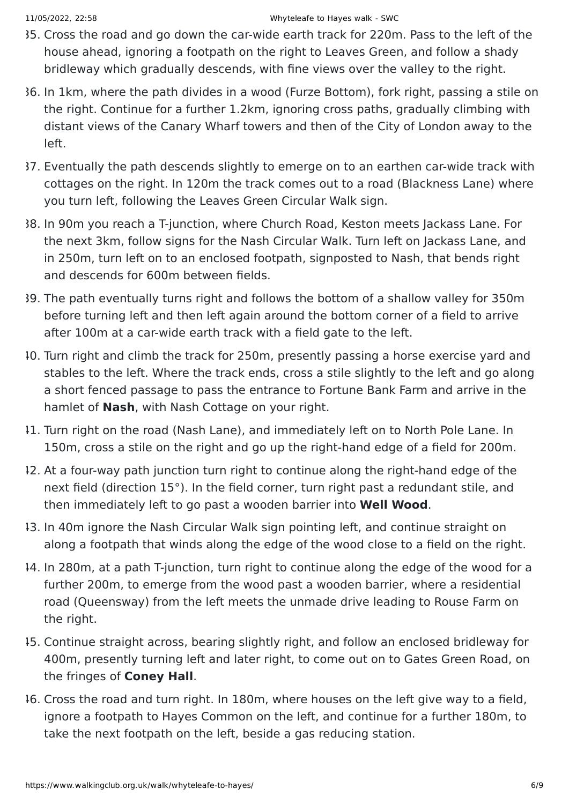- 35. Cross the road and go down the car-wide earth track for 220m. Pass to the left of the house ahead, ignoring a footpath on the right to Leaves Green, and follow a shady bridleway which gradually descends, with fine views over the valley to the right.
- 36. In 1km, where the path divides in a wood (Furze Bottom), fork right, passing a stile on the right. Continue for a further 1.2km, ignoring cross paths, gradually climbing with distant views of the Canary Wharf towers and then of the City of London away to the left.
- 37. Eventually the path descends slightly to emerge on to an earthen car-wide track with cottages on the right. In 120m the track comes out to a road (Blackness Lane) where you turn left, following the Leaves Green Circular Walk sign.
- 38. In 90m you reach a T-junction, where Church Road, Keston meets Jackass Lane. For the next 3km, follow signs for the Nash Circular Walk. Turn left on Jackass Lane, and in 250m, turn left on to an enclosed footpath, signposted to Nash, that bends right and descends for 600m between fields.
- 39. The path eventually turns right and follows the bottom of a shallow valley for 350m before turning left and then left again around the bottom corner of a field to arrive after 100m at a car-wide earth track with a field gate to the left.
- 40. Turn right and climb the track for 250m, presently passing a horse exercise yard and stables to the left. Where the track ends, cross a stile slightly to the left and go along a short fenced passage to pass the entrance to Fortune Bank Farm and arrive in the hamlet of **Nash**, with Nash Cottage on your right.
- 41. Turn right on the road (Nash Lane), and immediately left on to North Pole Lane. In 150m, cross a stile on the right and go up the right-hand edge of a field for 200m.
- 42. At a four-way path junction turn right to continue along the right-hand edge of the next field (direction 15°). In the field corner, turn right past a redundant stile, and then immediately left to go past a wooden barrier into **Well Wood**.
- 43. In 40m ignore the Nash Circular Walk sign pointing left, and continue straight on along a footpath that winds along the edge of the wood close to a field on the right.
- 44. In 280m, at a path T-junction, turn right to continue along the edge of the wood for a further 200m, to emerge from the wood past a wooden barrier, where a residential road (Queensway) from the left meets the unmade drive leading to Rouse Farm on the right.
- 45. Continue straight across, bearing slightly right, and follow an enclosed bridleway for 400m, presently turning left and later right, to come out on to Gates Green Road, on the fringes of **Coney Hall**.
- 46. Cross the road and turn right. In 180m, where houses on the left give way to a field, ignore a footpath to Hayes Common on the left, and continue for a further 180m, to take the next footpath on the left, beside a gas reducing station.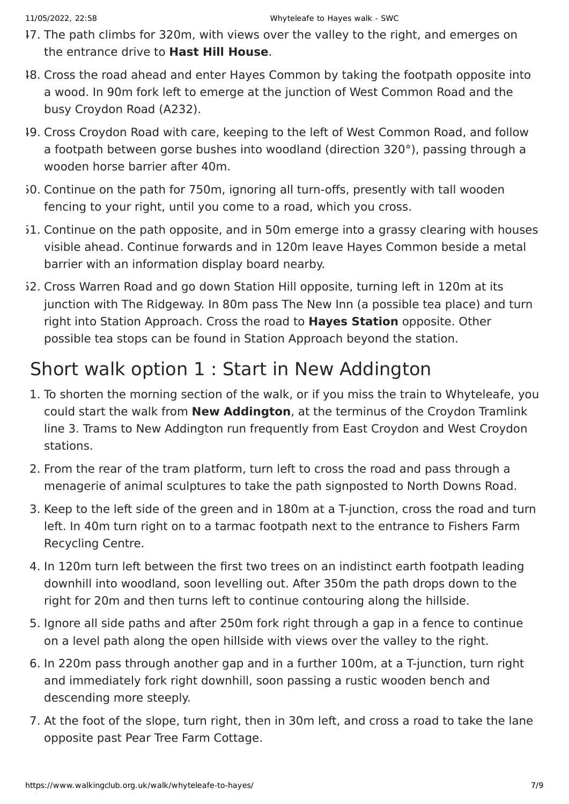- 47. The path climbs for 320m, with views over the valley to the right, and emerges on the entrance drive to **Hast Hill House**.
- 48. Cross the road ahead and enter Hayes Common by taking the footpath opposite into a wood. In 90m fork left to emerge at the junction of West Common Road and the busy Croydon Road (A232).
- 49. Cross Croydon Road with care, keeping to the left of West Common Road, and follow a footpath between gorse bushes into woodland (direction 320°), passing through a wooden horse barrier after 40m.
- 50. Continue on the path for 750m, ignoring all turn-offs, presently with tall wooden fencing to your right, until you come to a road, which you cross.
- 51. Continue on the path opposite, and in 50m emerge into a grassy clearing with houses visible ahead. Continue forwards and in 120m leave Hayes Common beside a metal barrier with an information display board nearby.
- 52. Cross Warren Road and go down Station Hill opposite, turning left in 120m at its junction with The Ridgeway. In 80m pass The New Inn (a possible tea place) and turn right into Station Approach. Cross the road to **Hayes Station** opposite. Other possible tea stops can be found in Station Approach beyond the station.

#### Short walk option 1 : Start in New Addington

- 1. To shorten the morning section of the walk, or if you miss the train to Whyteleafe, you could start the walk from **New Addington**, at the terminus of the Croydon Tramlink line 3. Trams to New Addington run frequently from East Croydon and West Croydon stations.
- 2. From the rear of the tram platform, turn left to cross the road and pass through a menagerie of animal sculptures to take the path signposted to North Downs Road.
- 3. Keep to the left side of the green and in 180m at a T-junction, cross the road and turn left. In 40m turn right on to a tarmac footpath next to the entrance to Fishers Farm Recycling Centre.
- 4. In 120m turn left between the first two trees on an indistinct earth footpath leading downhill into woodland, soon levelling out. After 350m the path drops down to the right for 20m and then turns left to continue contouring along the hillside.
- 5. Ignore all side paths and after 250m fork right through a gap in a fence to continue on a level path along the open hillside with views over the valley to the right.
- 6. In 220m pass through another gap and in a further 100m, at a T-junction, turn right and immediately fork right downhill, soon passing a rustic wooden bench and descending more steeply.
- 7. At the foot of the slope, turn right, then in 30m left, and cross a road to take the lane opposite past Pear Tree Farm Cottage.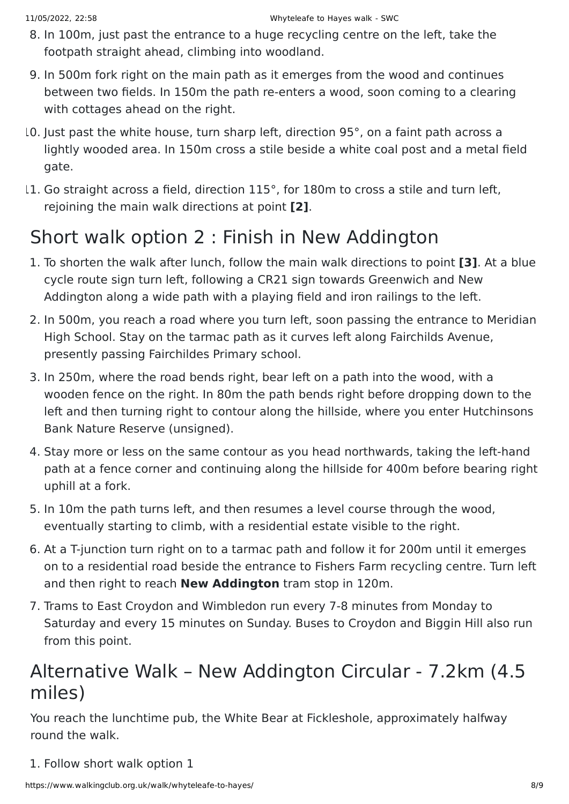- 8. In 100m, just past the entrance to a huge recycling centre on the left, take the footpath straight ahead, climbing into woodland.
- 9. In 500m fork right on the main path as it emerges from the wood and continues between two fields. In 150m the path re-enters a wood, soon coming to a clearing with cottages ahead on the right.
- 10. Just past the white house, turn sharp left, direction 95°, on a faint path across a lightly wooded area. In 150m cross a stile beside a white coal post and a metal field gate.
- 11. Go straight across a field, direction 115°, for 180m to cross a stile and turn left, rejoining the main walk directions at point **[2]**.

## Short walk option 2 : Finish in New Addington

- 1. To shorten the walk after lunch, follow the main walk directions to point **[3]**. At a blue cycle route sign turn left, following a CR21 sign towards Greenwich and New Addington along a wide path with a playing field and iron railings to the left.
- 2. In 500m, you reach a road where you turn left, soon passing the entrance to Meridian High School. Stay on the tarmac path as it curves left along Fairchilds Avenue, presently passing Fairchildes Primary school.
- 3. In 250m, where the road bends right, bear left on a path into the wood, with a wooden fence on the right. In 80m the path bends right before dropping down to the left and then turning right to contour along the hillside, where you enter Hutchinsons Bank Nature Reserve (unsigned).
- 4. Stay more or less on the same contour as you head northwards, taking the left-hand path at a fence corner and continuing along the hillside for 400m before bearing right uphill at a fork.
- 5. In 10m the path turns left, and then resumes a level course through the wood, eventually starting to climb, with a residential estate visible to the right.
- 6. At a T-junction turn right on to a tarmac path and follow it for 200m until it emerges on to a residential road beside the entrance to Fishers Farm recycling centre. Turn left and then right to reach **New Addington** tram stop in 120m.
- 7. Trams to East Croydon and Wimbledon run every 7-8 minutes from Monday to Saturday and every 15 minutes on Sunday. Buses to Croydon and Biggin Hill also run from this point.

#### Alternative Walk – New Addington Circular - 7.2km (4.5 miles)

You reach the lunchtime pub, the White Bear at Fickleshole, approximately halfway round the walk.

1. Follow short walk option 1